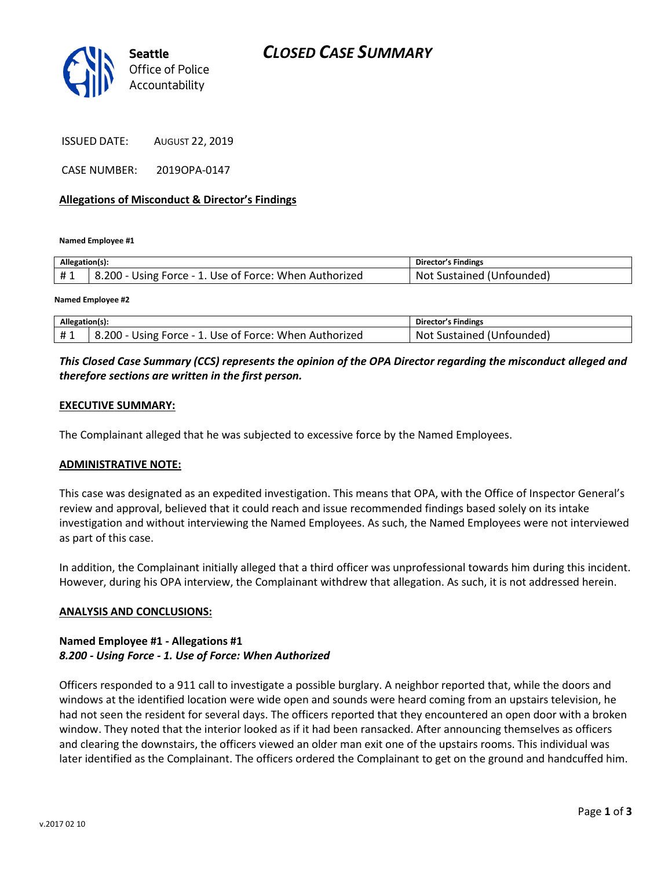

ISSUED DATE: AUGUST 22, 2019

CASE NUMBER: 2019OPA-0147

## **Allegations of Misconduct & Director's Findings**

**Named Employee #1**

| Allegation(s): |                                                        | Director's Findings       |
|----------------|--------------------------------------------------------|---------------------------|
| #1             | 8.200 - Using Force - 1. Use of Force: When Authorized | Not Sustained (Unfounded) |
|                |                                                        |                           |

**Named Employee #2**

| Allegation(s): |                                                        | Director's Findings       |
|----------------|--------------------------------------------------------|---------------------------|
| #1             | 8.200 - Using Force - 1. Use of Force: When Authorized | Not Sustained (Unfounded) |

## *This Closed Case Summary (CCS) represents the opinion of the OPA Director regarding the misconduct alleged and therefore sections are written in the first person.*

#### **EXECUTIVE SUMMARY:**

The Complainant alleged that he was subjected to excessive force by the Named Employees.

#### **ADMINISTRATIVE NOTE:**

This case was designated as an expedited investigation. This means that OPA, with the Office of Inspector General's review and approval, believed that it could reach and issue recommended findings based solely on its intake investigation and without interviewing the Named Employees. As such, the Named Employees were not interviewed as part of this case.

In addition, the Complainant initially alleged that a third officer was unprofessional towards him during this incident. However, during his OPA interview, the Complainant withdrew that allegation. As such, it is not addressed herein.

#### **ANALYSIS AND CONCLUSIONS:**

## **Named Employee #1 - Allegations #1** *8.200 - Using Force - 1. Use of Force: When Authorized*

Officers responded to a 911 call to investigate a possible burglary. A neighbor reported that, while the doors and windows at the identified location were wide open and sounds were heard coming from an upstairs television, he had not seen the resident for several days. The officers reported that they encountered an open door with a broken window. They noted that the interior looked as if it had been ransacked. After announcing themselves as officers and clearing the downstairs, the officers viewed an older man exit one of the upstairs rooms. This individual was later identified as the Complainant. The officers ordered the Complainant to get on the ground and handcuffed him.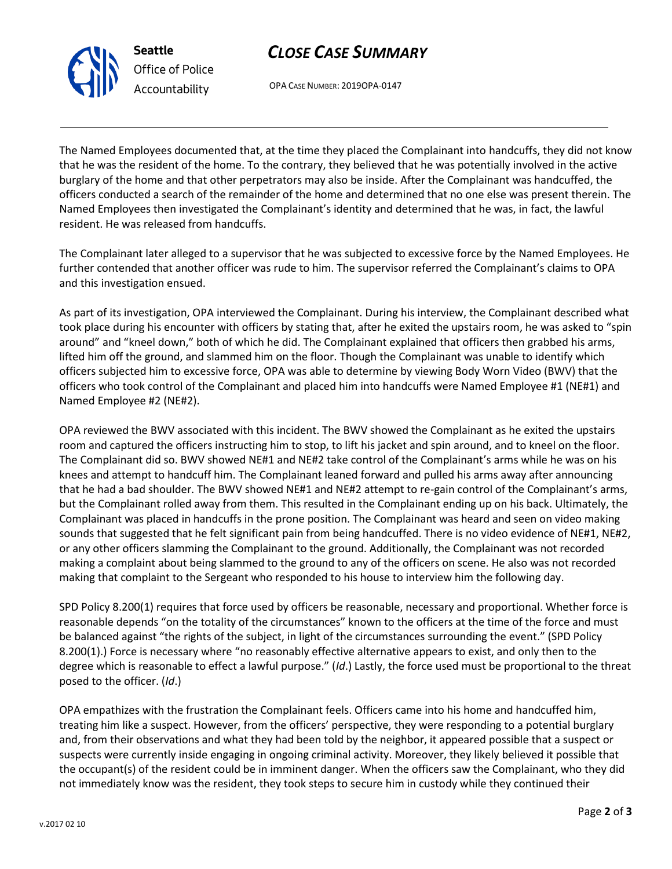# *CLOSE CASE SUMMARY*



OPA CASE NUMBER: 2019OPA-0147

The Named Employees documented that, at the time they placed the Complainant into handcuffs, they did not know that he was the resident of the home. To the contrary, they believed that he was potentially involved in the active burglary of the home and that other perpetrators may also be inside. After the Complainant was handcuffed, the officers conducted a search of the remainder of the home and determined that no one else was present therein. The Named Employees then investigated the Complainant's identity and determined that he was, in fact, the lawful resident. He was released from handcuffs.

The Complainant later alleged to a supervisor that he was subjected to excessive force by the Named Employees. He further contended that another officer was rude to him. The supervisor referred the Complainant's claims to OPA and this investigation ensued.

As part of its investigation, OPA interviewed the Complainant. During his interview, the Complainant described what took place during his encounter with officers by stating that, after he exited the upstairs room, he was asked to "spin around" and "kneel down," both of which he did. The Complainant explained that officers then grabbed his arms, lifted him off the ground, and slammed him on the floor. Though the Complainant was unable to identify which officers subjected him to excessive force, OPA was able to determine by viewing Body Worn Video (BWV) that the officers who took control of the Complainant and placed him into handcuffs were Named Employee #1 (NE#1) and Named Employee #2 (NE#2).

OPA reviewed the BWV associated with this incident. The BWV showed the Complainant as he exited the upstairs room and captured the officers instructing him to stop, to lift his jacket and spin around, and to kneel on the floor. The Complainant did so. BWV showed NE#1 and NE#2 take control of the Complainant's arms while he was on his knees and attempt to handcuff him. The Complainant leaned forward and pulled his arms away after announcing that he had a bad shoulder. The BWV showed NE#1 and NE#2 attempt to re-gain control of the Complainant's arms, but the Complainant rolled away from them. This resulted in the Complainant ending up on his back. Ultimately, the Complainant was placed in handcuffs in the prone position. The Complainant was heard and seen on video making sounds that suggested that he felt significant pain from being handcuffed. There is no video evidence of NE#1, NE#2, or any other officers slamming the Complainant to the ground. Additionally, the Complainant was not recorded making a complaint about being slammed to the ground to any of the officers on scene. He also was not recorded making that complaint to the Sergeant who responded to his house to interview him the following day.

SPD Policy 8.200(1) requires that force used by officers be reasonable, necessary and proportional. Whether force is reasonable depends "on the totality of the circumstances" known to the officers at the time of the force and must be balanced against "the rights of the subject, in light of the circumstances surrounding the event." (SPD Policy 8.200(1).) Force is necessary where "no reasonably effective alternative appears to exist, and only then to the degree which is reasonable to effect a lawful purpose." (*Id*.) Lastly, the force used must be proportional to the threat posed to the officer. (*Id*.)

OPA empathizes with the frustration the Complainant feels. Officers came into his home and handcuffed him, treating him like a suspect. However, from the officers' perspective, they were responding to a potential burglary and, from their observations and what they had been told by the neighbor, it appeared possible that a suspect or suspects were currently inside engaging in ongoing criminal activity. Moreover, they likely believed it possible that the occupant(s) of the resident could be in imminent danger. When the officers saw the Complainant, who they did not immediately know was the resident, they took steps to secure him in custody while they continued their